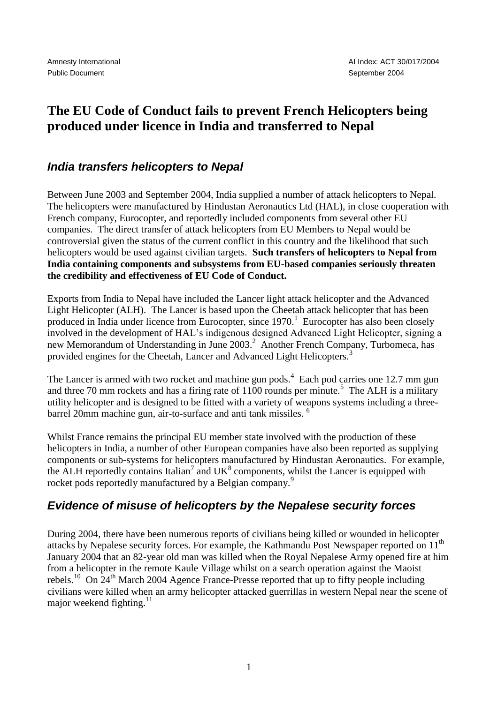## **The EU Code of Conduct fails to prevent French Helicopters being produced under licence in India and transferred to Nepal**

## *India transfers helicopters to Nepal*

Between June 2003 and September 2004, India supplied a number of attack helicopters to Nepal. The helicopters were manufactured by Hindustan Aeronautics Ltd (HAL), in close cooperation with French company, Eurocopter, and reportedly included components from several other EU companies. The direct transfer of attack helicopters from EU Members to Nepal would be controversial given the status of the current conflict in this country and the likelihood that such helicopters would be used against civilian targets. **Such transfers of helicopters to Nepal from India containing components and subsystems from EU-based companies seriously threaten the credibility and effectiveness of EU Code of Conduct.**

Exports from India to Nepal have included the Lancer light attack helicopter and the Advanced Light Helicopter (ALH). The Lancer is based upon the Cheetah attack helicopter that has been produced in India under licence from Eurocopter, since 1970.<sup>1</sup> Eurocopter has also been closely involved in the development of HAL's indigenous designed Advanced Light Helicopter, signing a new Memorandum of Understanding in June 2003.<sup>2</sup> Another French Company, Turbomeca, has provided engines for the Cheetah, Lancer and Advanced Light Helicopters.<sup>3</sup>

The Lancer is armed with two rocket and machine gun pods.<sup>4</sup> Each pod carries one 12.7 mm gun and three 70 mm rockets and has a firing rate of  $1100$  rounds per minute.<sup>5</sup> The ALH is a military utility helicopter and is designed to be fitted with a variety of weapons systems including a threebarrel 20mm machine gun, air-to-surface and anti tank missiles. <sup>6</sup>

Whilst France remains the principal EU member state involved with the production of these helicopters in India, a number of other European companies have also been reported as supplying components or sub-systems for helicopters manufactured by Hindustan Aeronautics. For example, the ALH reportedly contains Italian<sup>7</sup> and  $UK<sup>8</sup>$  components, whilst the Lancer is equipped with rocket pods reportedly manufactured by a Belgian company.<sup>9</sup>

## *Evidence of misuse of helicopters by the Nepalese security forces*

During 2004, there have been numerous reports of civilians being killed or wounded in helicopter attacks by Nepalese security forces. For example, the Kathmandu Post Newspaper reported on  $11<sup>th</sup>$ January 2004 that an 82-year old man was killed when the Royal Nepalese Army opened fire at him from a helicopter in the remote Kaule Village whilst on a search operation against the Maoist rebels.<sup>10</sup> On  $24<sup>th</sup>$  March 2004 Agence France-Presse reported that up to fifty people including civilians were killed when an army helicopter attacked guerrillas in western Nepal near the scene of major weekend fighting. $11$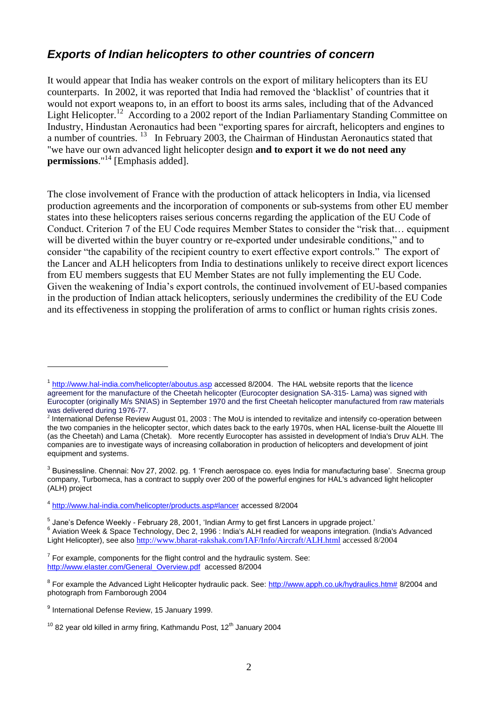## *Exports of Indian helicopters to other countries of concern*

It would appear that India has weaker controls on the export of military helicopters than its EU counterparts. In 2002, it was reported that India had removed the 'blacklist' of countries that it would not export weapons to, in an effort to boost its arms sales, including that of the Advanced Light Helicopter.<sup>12</sup> According to a 2002 report of the Indian Parliamentary Standing Committee on Industry, Hindustan Aeronautics had been "exporting spares for aircraft, helicopters and engines to a number of countries.<sup>13</sup> In February 2003, the Chairman of Hindustan Aeronautics stated that "we have our own advanced light helicopter design **and to export it we do not need any permissions**."<sup>14</sup> [Emphasis added].

The close involvement of France with the production of attack helicopters in India, via licensed production agreements and the incorporation of components or sub-systems from other EU member states into these helicopters raises serious concerns regarding the application of the EU Code of Conduct. Criterion 7 of the EU Code requires Member States to consider the "risk that… equipment will be diverted within the buyer country or re-exported under undesirable conditions," and to consider "the capability of the recipient country to exert effective export controls." The export of the Lancer and ALH helicopters from India to destinations unlikely to receive direct export licences from EU members suggests that EU Member States are not fully implementing the EU Code. Given the weakening of India's export controls, the continued involvement of EU-based companies in the production of Indian attack helicopters, seriously undermines the credibility of the EU Code and its effectiveness in stopping the proliferation of arms to conflict or human rights crisis zones.

1

<sup>&</sup>lt;sup>1</sup> <http://www.hal-india.com/helicopter/aboutus.asp> accessed 8/2004. The HAL website reports that the licence agreement for the manufacture of the Cheetah helicopter (Eurocopter designation SA-315- Lama) was signed with Eurocopter (originally M/s SNIAS) in September 1970 and the first Cheetah helicopter manufactured from raw materials was delivered during 1976-77.

<sup>&</sup>lt;sup>2</sup> International Defense Review August 01, 2003 : The MoU is intended to revitalize and intensify co-operation between the two companies in the helicopter sector, which dates back to the early 1970s, when HAL license-built the Alouette III (as the Cheetah) and Lama (Chetak). More recently Eurocopter has assisted in development of India's Druv ALH. The companies are to investigate ways of increasing collaboration in production of helicopters and development of joint equipment and systems.

<sup>&</sup>lt;sup>3</sup> Businessline. Chennai: Nov 27, 2002. pg. 1 'French aerospace co. eyes India for manufacturing base'. Snecma group company, Turbomeca, has a contract to supply over 200 of the powerful engines for HAL's advanced light helicopter (ALH) project

<sup>&</sup>lt;sup>4</sup> <http://www.hal-india.com/helicopter/products.asp#lancer> accessed 8/2004

<sup>&</sup>lt;sup>5</sup> Jane's Defence Weekly - February 28, 2001, 'Indian Army to get first Lancers in upgrade project.' <sup>6</sup> Aviation Week & Space Technology, Dec 2, 1996 : India's ALH readied for weapons integration. (India's Advanced Light Helicopter), see also <http://www.bharat-rakshak.com/IAF/Info/Aircraft/ALH.html> accessed 8/2004

 $7$  For example, components for the flight control and the hydraulic system. See: [http://www.elaster.com/General\\_Overview.pdf](http://www.elaster.com/General_Overview.pdf) accessed 8/2004

<sup>&</sup>lt;sup>8</sup> For example the Advanced Light Helicopter hydraulic pack. See: [http://www.apph.co.uk/hydraulics.htm#](http://www.apph.co.uk/hydraulics.htm) 8/2004 and photograph from Farnborough 2004

<sup>&</sup>lt;sup>9</sup> International Defense Review, 15 January 1999.

 $10$  82 year old killed in army firing, Kathmandu Post, 12<sup>th</sup> January 2004